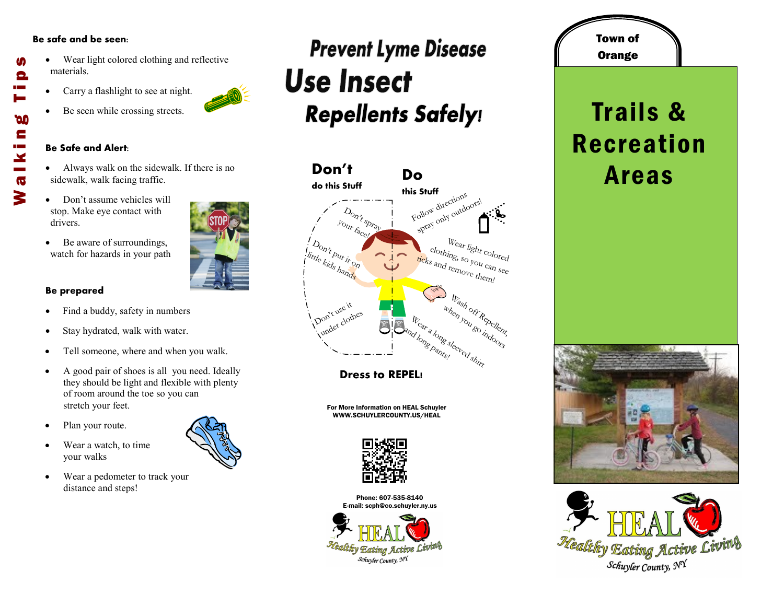#### **Be safe and be seen:**

M

Θ

**DO** E

 $\mathbf{x}$  $\overline{\mathbf{G}}$ 3

- Wear light colored clothing and reflective materials. Walking Tips
	- Carry a flashlight to see at night.
	- Be seen while crossing streets.

#### **Be Safe and Alert:**

- Always walk on the sidewalk. If there is no sidewalk, walk facing traffic.
- Don't assume vehicles will stop. Make eye contact with drivers.
- Be aware of surroundings, watch for hazards in your path

### **Be prepared**

- Find a buddy, safety in numbers
- Stay hydrated, walk with water.
- Tell someone, where and when you walk.
- A good pair of shoes is all you need. Ideally they should be light and flexible with plenty of room around the toe so you can stretch your feet.
- Plan your route.
- Wear a watch, to time your walks
- Wear a pedometer to track your distance and steps!

### **Prevent Lyme Disease Use Insect Repellents Safely!**



**Dress to REPEL!**

For More Information on HEAL Schuyler WWW.SCHUYLERCOUNTY.US/HEAL



Phone: 607-535-8140 E-mail: scph@co.schuyler.ny.us



## **Orange** Trails & Recreation Areas

Town of